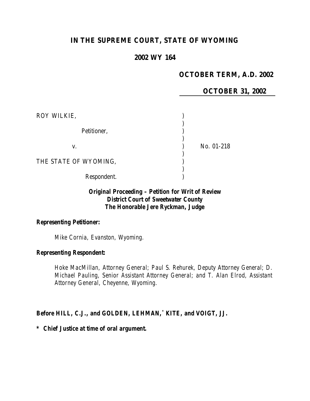## **IN THE SUPREME COURT, STATE OF WYOMING**

### **2002 WY 164**

## **OCTOBER TERM, A.D. 2002**

### **OCTOBER 31, 2002**

| ROY WILKIE,           |            |
|-----------------------|------------|
| Petitioner,           |            |
| V.                    | No. 01-218 |
| THE STATE OF WYOMING, |            |
| Respondent.           |            |

### *Original Proceeding – Petition for Writ of Review District Court of Sweetwater County The Honorable Jere Ryckman, Judge*

## *Representing Petitioner:*

*Mike Cornia, Evanston, Wyoming.*

#### *Representing Respondent:*

*Hoke MacMillan, Attorney General; Paul S. Rehurek, Deputy Attorney General; D. Michael Pauling, Senior Assistant Attorney General; and T. Alan Elrod, Assistant Attorney General, Cheyenne, Wyoming.*

#### *Before HILL, C.J., and GOLDEN, LEHMAN,\* KITE, and VOIGT, JJ.*

#### *\* Chief Justice at time of oral argument.*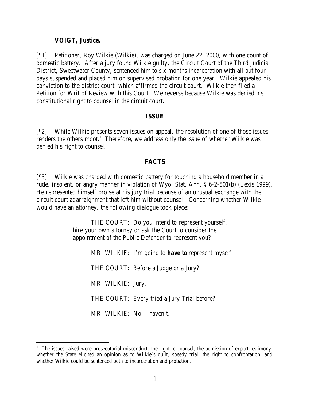#### **VOIGT, Justice.**

[¶1] Petitioner, Roy Wilkie (Wilkie), was charged on June 22, 2000, with one count of domestic battery. After a jury found Wilkie guilty, the Circuit Court of the Third Judicial District, Sweetwater County, sentenced him to six months incarceration with all but four days suspended and placed him on supervised probation for one year. Wilkie appealed his conviction to the district court, which affirmed the circuit court. Wilkie then filed a Petition for Writ of Review with this Court. We reverse because Wilkie was denied his constitutional right to counsel in the circuit court.

### **ISSUE**

[¶2] While Wilkie presents seven issues on appeal, the resolution of one of those issues renders the others moot.<sup>1</sup> Therefore, we address only the issue of whether Wilkie was denied his right to counsel.

### **FACTS**

[¶3] Wilkie was charged with domestic battery for touching a household member in a rude, insolent, or angry manner in violation of Wyo. Stat. Ann. § 6-2-501(b) (Lexis 1999). He represented himself pro se at his jury trial because of an unusual exchange with the circuit court at arraignment that left him without counsel. Concerning whether Wilkie would have an attorney, the following dialogue took place:

> THE COURT: Do you intend to represent yourself, hire your own attorney or ask the Court to consider the appointment of the Public Defender to represent you?

> > MR. WILKIE: I'm going to *have to* represent myself. THE COURT: Before a Judge or a Jury? MR. WILKIE: Jury. THE COURT: Every tried a Jury Trial before? MR. WILKIE: No, I haven't.

<sup>&</sup>lt;sup>1</sup> The issues raised were prosecutorial misconduct, the right to counsel, the admission of expert testimony, whether the State elicited an opinion as to Wilkie's guilt, speedy trial, the right to confrontation, and whether Wilkie could be sentenced both to incarceration and probation.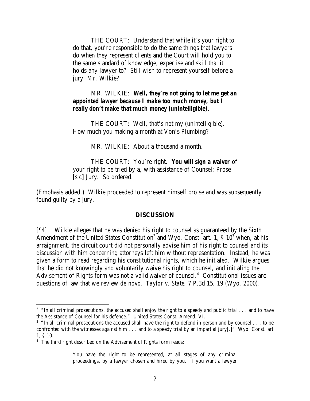THE COURT: Understand that while it's your right to do that, you're responsible to do the same things that lawyers do when they represent clients and the Court will hold you to the same standard of knowledge, expertise and skill that it holds any lawyer to? Still wish to represent yourself before a jury, Mr. Wilkie?

#### MR. WILKIE: *Well, they're not going to let me get an appointed lawyer because I make too much money, but I really don't make that much money (unintelligible)*.

THE COURT: Well, that's not my (unintelligible). How much you making a month at Von's Plumbing?

MR. WILKIE: About a thousand a month.

THE COURT: You're right. *You will sign a waiver* of your right to be tried by a, with assistance of Counsel; Prose [sic] Jury. So ordered.

(Emphasis added.) Wilkie proceeded to represent himself pro se and was subsequently found guilty by a jury.

#### **DISCUSSION**

[¶4] Wilkie alleges that he was denied his right to counsel as guaranteed by the Sixth Amendment of the United States Constitution<sup>2</sup> and Wyo. Const. art. 1, § 10<sup>3</sup> when, at his arraignment, the circuit court did not personally advise him of his right to counsel and its discussion with him concerning attorneys left him without representation. Instead, he was given a form to read regarding his constitutional rights, which he initialed. Wilkie argues that he did not knowingly and voluntarily waive his right to counsel, and initialing the Advisement of Rights form was not a valid waiver of counsel.<sup>4</sup> Constitutional issues are questions of law that we review *de novo*. *Taylor v. State*, 7 P.3d 15, 19 (Wyo. 2000).

You have the right to be represented, at all stages of any criminal proceedings, by a lawyer chosen and hired by you. If you want a lawyer

 $2$  "In all criminal prosecutions, the accused shall enjoy the right to a speedy and public trial  $\dots$  and to have the Assistance of Counsel for his defence." United States Const. Amend. VI.

 $3$  "In all criminal prosecutions the accused shall have the right to defend in person and by counsel  $\dots$  to be confronted with the witnesses against him . . . and to a speedy trial by an impartial jury[.]" Wyo. Const. art 1, § 10.

<sup>&</sup>lt;sup>4</sup> The third right described on the Advisement of Rights form reads: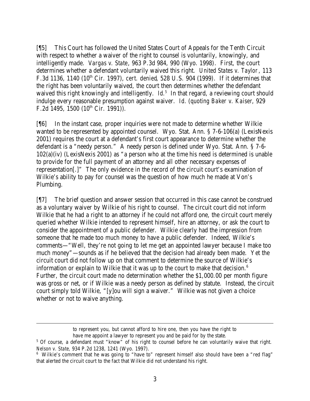[¶5] This Court has followed the United States Court of Appeals for the Tenth Circuit with respect to whether a waiver of the right to counsel is voluntarily, knowingly, and intelligently made. *Vargas v. State*, 963 P.3d 984, 990 (Wyo. 1998). First, the court determines whether a defendant voluntarily waived this right. *United States v. Taylor*, 113 F.3d 1136, 1140 (10<sup>th</sup> Cir. 1997), *cert. denied*, 528 U.S. 904 (1999). If it determines that the right has been voluntarily waived, the court then determines whether the defendant waived this right knowingly and intelligently. *Id.<sup>5</sup>* In that regard, a reviewing court should indulge every reasonable presumption against waiver. *Id.* (*quoting Baker v. Kaiser*, 929 F.2d 1495, 1500  $(10^{th}$  Cir. 1991)).

[¶6] In the instant case, proper inquiries were not made to determine whether Wilkie wanted to be represented by appointed counsel. Wyo. Stat. Ann. § 7-6-106(a) (LexisNexis 2001) requires the court at a defendant's first court appearance to determine whether the defendant is a "needy person." A needy person is defined under Wyo. Stat. Ann. § 7-6- 102(a)(iv) (LexisNexis 2001) as "a person who at the time his need is determined is unable to provide for the full payment of an attorney and all other necessary expenses of representation[.]" The only evidence in the record of the circuit court's examination of Wilkie's ability to pay for counsel was the question of how much he made at Von's Plumbing.

[¶7] The brief question and answer session that occurred in this case cannot be construed as a voluntary waiver by Wilkie of his right to counsel. The circuit court did not inform Wilkie that he had a right to an attorney if he could not afford one, the circuit court merely queried whether Wilkie intended to represent himself, hire an attorney, or ask the court to consider the appointment of a public defender. Wilkie clearly had the impression from someone that he made too much money to have a public defender. Indeed, Wilkie's comments—"Well, they're not going to let me get an appointed lawyer because I make too much money"—sounds as if he believed that the decision had already been made. Yet the circuit court did not follow up on that comment to determine the source of Wilkie's information or explain to Wilkie that it was up to the court to make that decision. $6$ Further, the circuit court made no determination whether the \$1,000.00 per month figure was gross or net, or if Wilkie was a needy person as defined by statute. Instead, the circuit court simply told Wilkie, "[y]ou will sign a waiver." Wilkie was not given a choice whether or not to waive anything.

to represent you, but cannot afford to hire one, then you have the right to have me appoint a lawyer to represent you and be paid for by the state.

<sup>&</sup>lt;sup>5</sup> Of course, a defendant must "know" of his right to counsel before he can voluntarily waive that right. *Nelson v. State,* 934 P.2d 1238, 1241 (Wyo. 1997).

<sup>&</sup>lt;sup>6</sup> Wilkie's comment that he was going to "have to" represent himself also should have been a "red flag" that alerted the circuit court to the fact that Wilkie did not understand his right.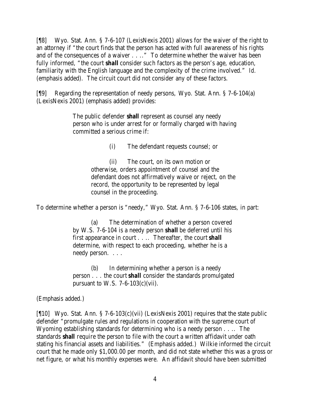[¶8] Wyo. Stat. Ann. § 7-6-107 (LexisNexis 2001) allows for the waiver of the right to an attorney if "the court finds that the person has acted with full awareness of his rights and of the consequences of a waiver . . .." To determine whether the waiver has been fully informed, "the court *shall* consider such factors as the person's age, education, familiarity with the English language and the complexity of the crime involved." *Id.* (emphasis added). The circuit court did not consider any of these factors.

[¶9] Regarding the representation of needy persons, Wyo. Stat. Ann. § 7-6-104(a) (LexisNexis 2001) (emphasis added) provides:

> The public defender *shall* represent as counsel any needy person who is under arrest for or formally charged with having committed a serious crime if:

> > (i) The defendant requests counsel; or

(ii) The court, on its own motion or otherwise, orders appointment of counsel and the defendant does not affirmatively waive or reject, on the record, the opportunity to be represented by legal counsel in the proceeding.

To determine whether a person is "needy," Wyo. Stat. Ann. § 7-6-106 states, in part:

(a) The determination of whether a person covered by W.S. 7-6-104 is a needy person *shall* be deferred until his first appearance in court . . .. Thereafter, the court *shall* determine, with respect to each proceeding, whether he is a needy person. . . .

(b) In determining whether a person is a needy person . . . the court *shall* consider the standards promulgated pursuant to W.S.  $7-6-103(c)$ (vii).

(Emphasis added.)

[¶10] Wyo. Stat. Ann. § 7-6-103(c)(vii) (LexisNexis 2001) requires that the state public defender "promulgate rules and regulations in cooperation with the supreme court of Wyoming establishing standards for determining who is a needy person . . .. The standards *shall* require the person to file with the court a written affidavit under oath stating his financial assets and liabilities." (Emphasis added.) Wilkie informed the circuit court that he made only \$1,000.00 per month, and did not state whether this was a gross or net figure, or what his monthly expenses were. An affidavit should have been submitted